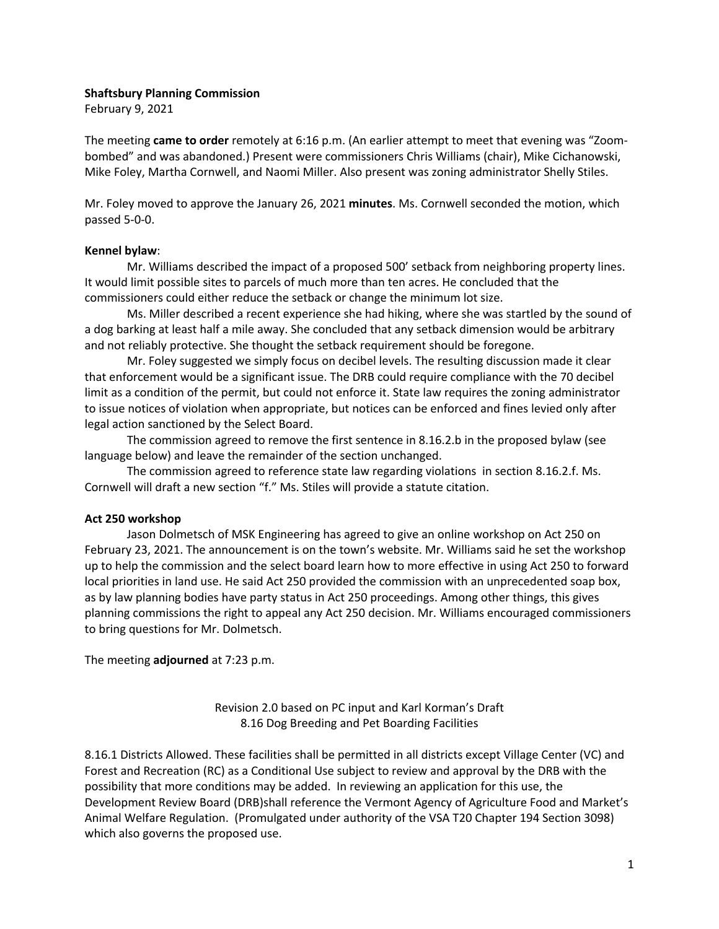### **Shaftsbury Planning Commission**

February 9, 2021

The meeting **came to order** remotely at 6:16 p.m. (An earlier attempt to meet that evening was "Zoombombed" and was abandoned.) Present were commissioners Chris Williams (chair), Mike Cichanowski, Mike Foley, Martha Cornwell, and Naomi Miller. Also present was zoning administrator Shelly Stiles.

Mr. Foley moved to approve the January 26, 2021 **minutes**. Ms. Cornwell seconded the motion, which passed 5-0-0.

#### **Kennel bylaw**:

Mr. Williams described the impact of a proposed 500' setback from neighboring property lines. It would limit possible sites to parcels of much more than ten acres. He concluded that the commissioners could either reduce the setback or change the minimum lot size.

Ms. Miller described a recent experience she had hiking, where she was startled by the sound of a dog barking at least half a mile away. She concluded that any setback dimension would be arbitrary and not reliably protective. She thought the setback requirement should be foregone.

Mr. Foley suggested we simply focus on decibel levels. The resulting discussion made it clear that enforcement would be a significant issue. The DRB could require compliance with the 70 decibel limit as a condition of the permit, but could not enforce it. State law requires the zoning administrator to issue notices of violation when appropriate, but notices can be enforced and fines levied only after legal action sanctioned by the Select Board.

The commission agreed to remove the first sentence in 8.16.2.b in the proposed bylaw (see language below) and leave the remainder of the section unchanged.

The commission agreed to reference state law regarding violations in section 8.16.2.f. Ms. Cornwell will draft a new section "f." Ms. Stiles will provide a statute citation.

### **Act 250 workshop**

Jason Dolmetsch of MSK Engineering has agreed to give an online workshop on Act 250 on February 23, 2021. The announcement is on the town's website. Mr. Williams said he set the workshop up to help the commission and the select board learn how to more effective in using Act 250 to forward local priorities in land use. He said Act 250 provided the commission with an unprecedented soap box, as by law planning bodies have party status in Act 250 proceedings. Among other things, this gives planning commissions the right to appeal any Act 250 decision. Mr. Williams encouraged commissioners to bring questions for Mr. Dolmetsch.

The meeting **adjourned** at 7:23 p.m.

Revision 2.0 based on PC input and Karl Korman's Draft 8.16 Dog Breeding and Pet Boarding Facilities

8.16.1 Districts Allowed. These facilities shall be permitted in all districts except Village Center (VC) and Forest and Recreation (RC) as a Conditional Use subject to review and approval by the DRB with the possibility that more conditions may be added. In reviewing an application for this use, the Development Review Board (DRB)shall reference the Vermont Agency of Agriculture Food and Market's Animal Welfare Regulation. (Promulgated under authority of the VSA T20 Chapter 194 Section 3098) which also governs the proposed use.